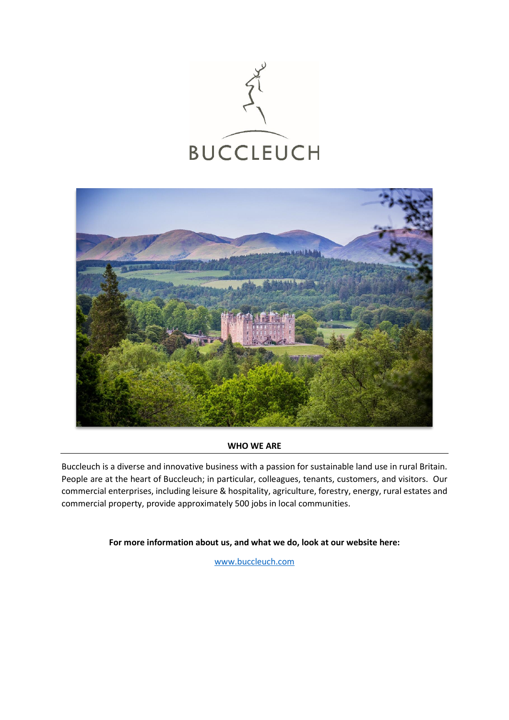



### **WHO WE ARE**

Buccleuch is a diverse and innovative business with a passion for sustainable land use in rural Britain. People are at the heart of Buccleuch; in particular, colleagues, tenants, customers, and visitors. Our commercial enterprises, including leisure & hospitality, agriculture, forestry, energy, rural estates and commercial property, provide approximately 500 jobs in local communities.

**For more information about us, and what we do, look at our website here:**

[www.buccleuch.com](http://www.buccleuch.com/)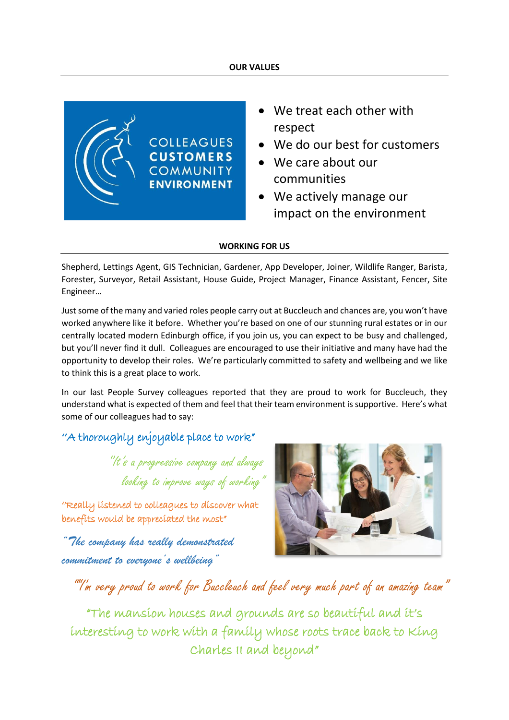### **OUR VALUES**



- We treat each other with respect
- We do our best for customers
- We care about our communities
- We actively manage our impact on the environment

### **WORKING FOR US**

Shepherd, Lettings Agent, GIS Technician, Gardener, App Developer, Joiner, Wildlife Ranger, Barista, Forester, Surveyor, Retail Assistant, House Guide, Project Manager, Finance Assistant, Fencer, Site Engineer…

Just some of the many and varied roles people carry out at Buccleuch and chances are, you won't have worked anywhere like it before. Whether you're based on one of our stunning rural estates or in our centrally located modern Edinburgh office, if you join us, you can expect to be busy and challenged, but you'll never find it dull. Colleagues are encouraged to use their initiative and many have had the opportunity to develop their roles. We're particularly committed to safety and wellbeing and we like to think this is a great place to work.

In our last People Survey colleagues reported that they are proud to work for Buccleuch, they understand what is expected of them and feel that their team environment is supportive. Here's what some of our colleagues had to say:

## ''A thoroughly enjoyable place to work"

''It's a progressive company and always looking to improve ways of working

''Really listened to colleagues to discover what benefits would be appreciated the most"

*"The company has really demonstrated commitment to everyone's wellbeing"*



# ""I'm very proud to work for Buccleuch and feel very much part of an amazing team"

"The mansion houses and grounds are so beautiful and it's interesting to work with a family whose roots trace back to King Charles II and beyond"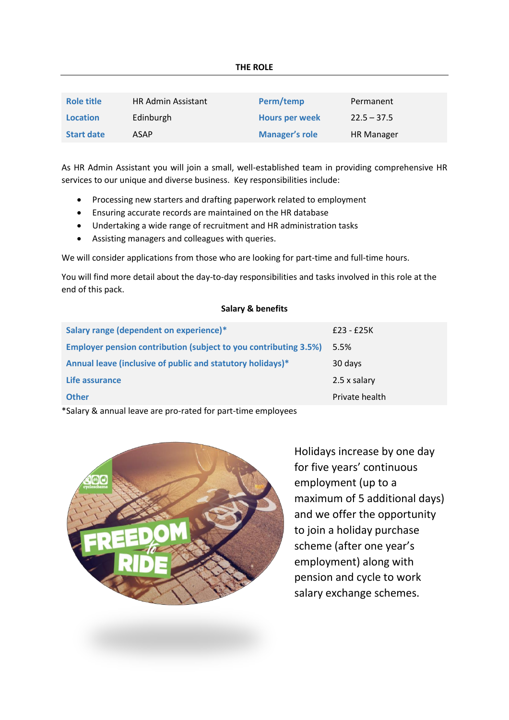| Role title        | <b>HR Admin Assistant</b> | Perm/temp             | Permanent     |
|-------------------|---------------------------|-----------------------|---------------|
| <b>Location</b>   | Edinburgh                 | <b>Hours per week</b> | $22.5 - 37.5$ |
| <b>Start date</b> | ASAP                      | <b>Manager's role</b> | HR Manager    |

As HR Admin Assistant you will join a small, well-established team in providing comprehensive HR services to our unique and diverse business. Key responsibilities include:

- Processing new starters and drafting paperwork related to employment
- Ensuring accurate records are maintained on the HR database
- Undertaking a wide range of recruitment and HR administration tasks
- Assisting managers and colleagues with queries.

We will consider applications from those who are looking for part-time and full-time hours.

You will find more detail about the day-to-day responsibilities and tasks involved in this role at the end of this pack.

### **Salary & benefits**

| Salary range (dependent on experience)*                                 | £23 - £25K     |
|-------------------------------------------------------------------------|----------------|
| <b>Employer pension contribution (subject to you contributing 3.5%)</b> | 5.5%           |
| Annual leave (inclusive of public and statutory holidays)*              | 30 days        |
| Life assurance                                                          | 2.5 x salary   |
| <b>Other</b>                                                            | Private health |
|                                                                         |                |

\*Salary & annual leave are pro-rated for part-time employees



Holidays increase by one day for five years' continuous employment (up to a maximum of 5 additional days) and we offer the opportunity to join a holiday purchase scheme (after one year's employment) along with pension and cycle to work salary exchange schemes.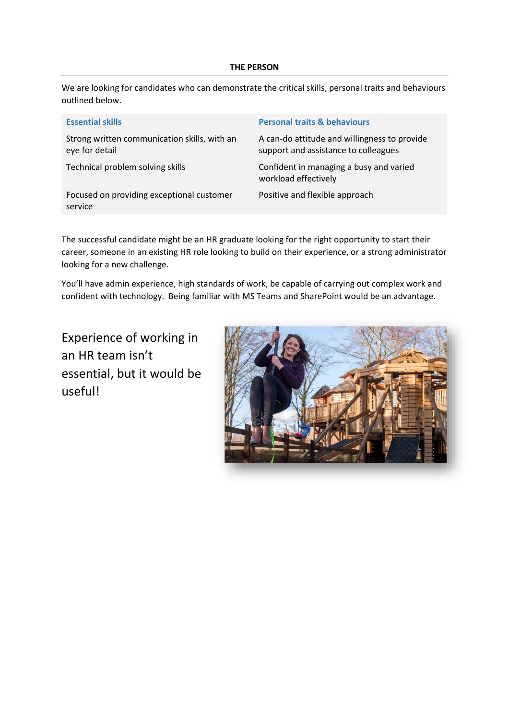### **THE PERSON**

We are looking for candidates who can demonstrate the critical skills, personal traits and behaviours outlined below.

| <b>Essential skills</b>                                        | <b>Personal traits &amp; behaviours</b>                                              |
|----------------------------------------------------------------|--------------------------------------------------------------------------------------|
| Strong written communication skills, with an<br>eye for detail | A can-do attitude and willingness to provide<br>support and assistance to colleagues |
| Technical problem solving skills                               | Confident in managing a busy and varied<br>workload effectively                      |
| Focused on providing exceptional customer<br>service           | Positive and flexible approach                                                       |

The successful candidate might be an HR graduate looking for the right opportunity to start their career, someone in an existing HR role looking to build on their experience, or a strong administrator looking for a new challenge.

You'll have admin experience, high standards of work, be capable of carrying out complex work and confident with technology. Being familiar with MS Teams and SharePoint would be an advantage.

Experience of working in an HR team isn't essential, but it would be useful!

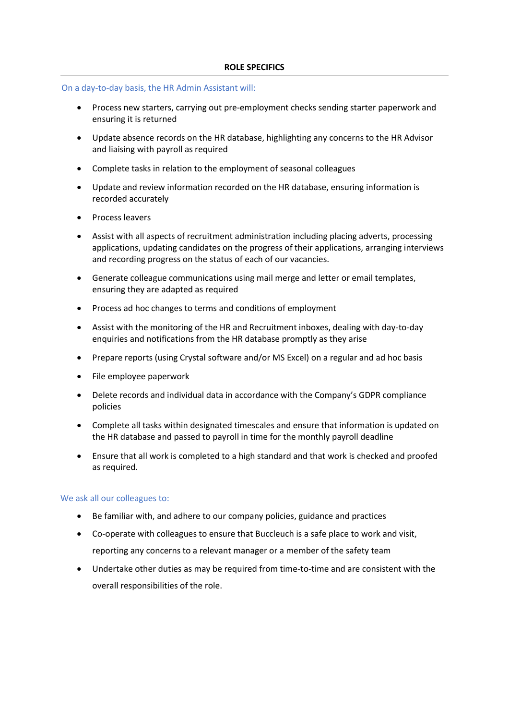### On a day-to-day basis, the HR Admin Assistant will:

- Process new starters, carrying out pre-employment checks sending starter paperwork and ensuring it is returned
- Update absence records on the HR database, highlighting any concerns to the HR Advisor and liaising with payroll as required
- Complete tasks in relation to the employment of seasonal colleagues
- Update and review information recorded on the HR database, ensuring information is recorded accurately
- Process leavers
- Assist with all aspects of recruitment administration including placing adverts, processing applications, updating candidates on the progress of their applications, arranging interviews and recording progress on the status of each of our vacancies.
- Generate colleague communications using mail merge and letter or email templates, ensuring they are adapted as required
- Process ad hoc changes to terms and conditions of employment
- Assist with the monitoring of the HR and Recruitment inboxes, dealing with day-to-day enquiries and notifications from the HR database promptly as they arise
- Prepare reports (using Crystal software and/or MS Excel) on a regular and ad hoc basis
- File employee paperwork
- Delete records and individual data in accordance with the Company's GDPR compliance policies
- Complete all tasks within designated timescales and ensure that information is updated on the HR database and passed to payroll in time for the monthly payroll deadline
- Ensure that all work is completed to a high standard and that work is checked and proofed as required.

### We ask all our colleagues to:

- Be familiar with, and adhere to our company policies, guidance and practices
- Co-operate with colleagues to ensure that Buccleuch is a safe place to work and visit, reporting any concerns to a relevant manager or a member of the safety team
- Undertake other duties as may be required from time-to-time and are consistent with the overall responsibilities of the role.